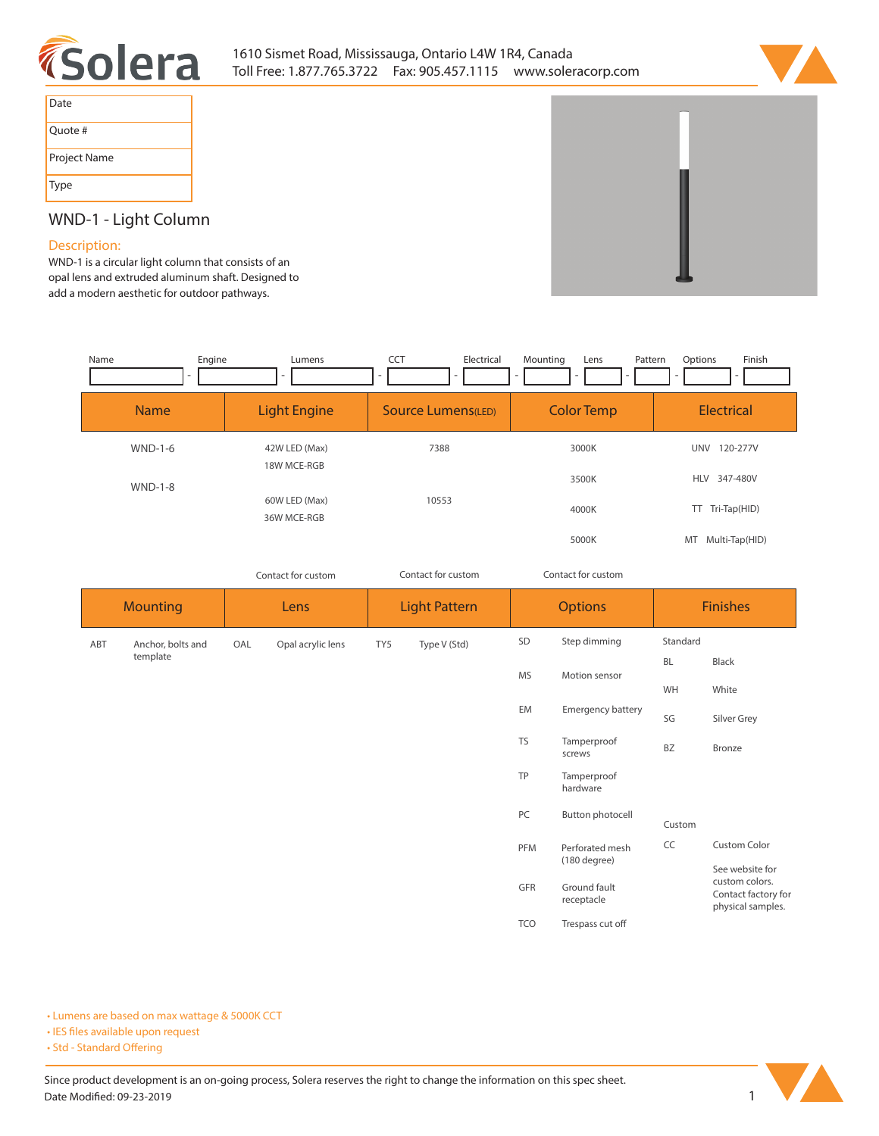



| Date         |
|--------------|
| Quote #      |
| Project Name |
| <b>Type</b>  |

# **WND-1 - Light Column**

### **Description:**

**WND-1 is a circular light column that consists of an opal lens and extruded aluminum shaft. Designed to add a modern aesthetic for outdoor pathways.** 

| Name        | Engine<br>Lumens             | <b>CCT</b><br>Electrical<br>٠ | Mounting<br>Pattern<br>Lens<br>۰ | Finish<br>Options      |
|-------------|------------------------------|-------------------------------|----------------------------------|------------------------|
| <b>Name</b> | <b>Light Engine</b>          | Source Lumens(LED)            | <b>Color Temp</b>                | <b>Electrical</b>      |
| $WND-1-6$   | 42W LED (Max)<br>18W MCE-RGB | 7388                          | 3000K                            | 120-277V<br><b>UNV</b> |
| $WND-1-8$   |                              |                               | 3500K                            | 347-480V<br><b>HLV</b> |
|             | 60W LED (Max)<br>36W MCE-RGB | 10553                         | 4000K                            | TT Tri-Tap(HID)        |
|             |                              |                               | 5000K                            | Multi-Tap(HID)<br>MT   |

|                 |                   |      | Contact for custom |                      | Contact for custom |                | Contact for custom                                            |                 |                                                                               |
|-----------------|-------------------|------|--------------------|----------------------|--------------------|----------------|---------------------------------------------------------------|-----------------|-------------------------------------------------------------------------------|
| <b>Mounting</b> |                   | Lens |                    | <b>Light Pattern</b> |                    | <b>Options</b> |                                                               | <b>Finishes</b> |                                                                               |
| ABT             | Anchor, bolts and | OAL  | Opal acrylic lens  | TY5                  | Type V (Std)       | SD             | Step dimming                                                  | Standard        |                                                                               |
|                 | template          |      |                    |                      |                    | <b>MS</b>      | Motion sensor                                                 | <b>BL</b>       | Black                                                                         |
|                 |                   |      |                    |                      |                    |                |                                                               | WH              | White                                                                         |
|                 |                   |      |                    |                      |                    | EM             | Emergency battery                                             | SG              | Silver Grey                                                                   |
|                 |                   |      |                    |                      |                    | <b>TS</b>      | Tamperproof<br>screws                                         | <b>BZ</b>       | Bronze                                                                        |
|                 |                   |      |                    |                      |                    | TP             | Tamperproof<br>hardware                                       |                 |                                                                               |
|                 |                   |      |                    |                      |                    | PC             | Button photocell                                              | Custom          |                                                                               |
|                 |                   |      |                    |                      |                    | PFM            | Perforated mesh<br>(180 degree)<br>Ground fault<br>receptacle | CC              | <b>Custom Color</b>                                                           |
|                 |                   |      |                    |                      |                    | GFR            |                                                               |                 | See website for<br>custom colors.<br>Contact factory for<br>physical samples. |
|                 |                   |      |                    |                      |                    | <b>TCO</b>     | Trespass cut off                                              |                 |                                                                               |

**• Lumens are based on max wattage & 5000K CCT**

**• IES files available upon request** 

• Std - Standard Offering

Since product development is an on-going process, Solera reserves the right to change the information on this spec sheet. **Date Modified: 09-23-2019 1**